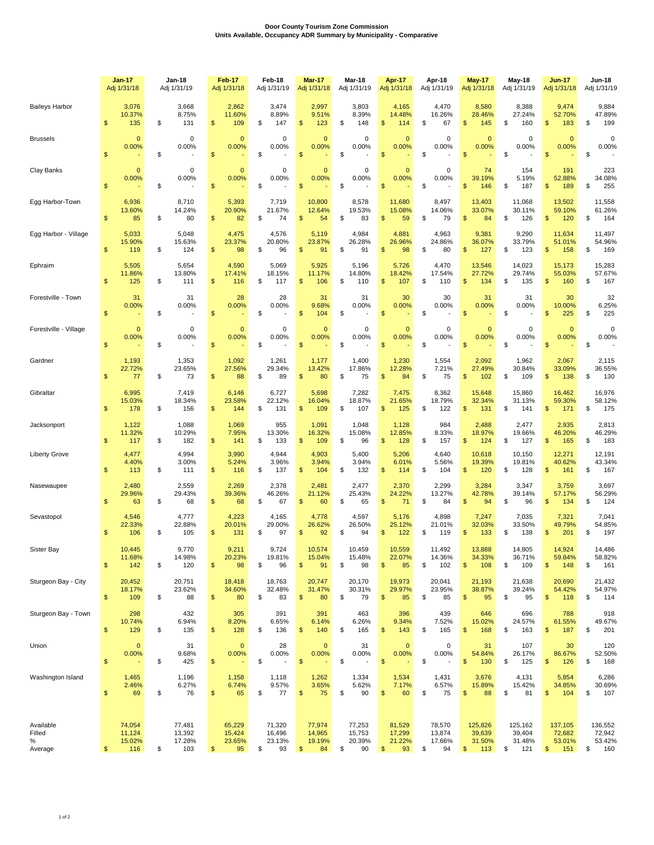## **Door County Tourism Zone Commission Units Available, Occupancy ADR Summary by Municipality - Comparative**

|                                     |                         | <b>Jan-17</b><br>Adj 1/31/18      |    | Jan-18<br>Adj 1/31/19             | Feb-17<br>Adj 1/31/18 |                                                | Feb-18<br>Adj 1/31/19 |                                  | <b>Mar-17</b><br>Adj 1/31/18 |                                  | Mar-18<br>Adj 1/31/19 |                                  |                         | Apr-17<br>Adj 1/31/18            |    | Apr-18<br>Adj 1/31/19            |               | <b>May-17</b><br>Adj 1/31/18         |    | May-18<br>Adj 1/31/19              |                | <b>Jun-17</b><br>Adj 1/31/18       |    | Jun-18<br>Adj 1/31/19              |
|-------------------------------------|-------------------------|-----------------------------------|----|-----------------------------------|-----------------------|------------------------------------------------|-----------------------|----------------------------------|------------------------------|----------------------------------|-----------------------|----------------------------------|-------------------------|----------------------------------|----|----------------------------------|---------------|--------------------------------------|----|------------------------------------|----------------|------------------------------------|----|------------------------------------|
| <b>Baileys Harbor</b>               | \$                      | 3,076<br>10.37%<br>135            | \$ | 3,668<br>8.75%<br>131             | \$                    | 2,862<br>11.60%<br>109                         | \$                    | 3,474<br>8.89%<br>147            | \$                           | 2,997<br>9.51%<br>123            | \$                    | 3,803<br>8.39%<br>148            | \$                      | 4,165<br>14.48%<br>114           | \$ | 4,470<br>16.26%<br>67            | \$            | 8,580<br>28.46%<br>145               | \$ | 8,388<br>27.24%<br>160             | \$             | 9,474<br>52.70%<br>183             | \$ | 9,884<br>47.89%<br>199             |
| <b>Brussels</b>                     | $\mathfrak{s}$          | $\mathbf{0}$<br>0.00%             | \$ | $\mathbf 0$<br>0.00%              | \$                    | $\mathbf{0}$<br>0.00%                          | \$                    | $\mathbf 0$<br>0.00%             | $\mathfrak{s}$               | $\mathbf 0$<br>0.00%             | \$                    | $\Omega$<br>0.00%                | $\mathsf{\$}$           | $\mathbf{0}$<br>0.00%            | \$ | 0<br>0.00%                       | $\mathsf{\$}$ | $\mathbf{0}$<br>0.00%                | \$ | 0<br>0.00%                         | $\mathfrak{s}$ | $\mathbf{0}$<br>0.00%              | \$ | 0<br>0.00%                         |
| Clay Banks                          | $\mathfrak{s}$          | $\mathbf{0}$<br>0.00%             | \$ | 0<br>0.00%                        | \$                    | $\mathbf{0}$<br>0.00%                          | \$                    | 0<br>0.00%                       | $\mathsf{\$}$                | $\mathbf 0$<br>0.00%             | \$                    | $\Omega$<br>0.00%                | $\mathsf{\$}$           | $\mathbf{0}$<br>0.00%            | \$ | 0<br>0.00%                       | $\mathsf{\$}$ | 74<br>39.19%<br>146                  | \$ | 154<br>5.19%<br>187                | \$             | 191<br>52.88%<br>189               | \$ | 223<br>34.08%<br>255               |
| Egg Harbor-Town                     | $\mathfrak{s}$          | 6,936<br>13.60%<br>85             | \$ | 8,710<br>14.24%<br>80             | \$                    | 5,393<br>20.90%<br>82                          | \$                    | 7,719<br>21.67%<br>74            | $\mathfrak{s}$               | 10,800<br>12.64%<br>54           | \$                    | 8,578<br>19.53%<br>83            | $\mathfrak{s}$          | 11,680<br>15.08%<br>59           | \$ | 8,497<br>14.06%<br>79            | $\mathsf{\$}$ | 13,403<br>33.07%<br>84               | \$ | 11,068<br>30.11%<br>126            | $\mathfrak{s}$ | 13,502<br>59.10%<br>120            | \$ | 11,558<br>61.26%<br>164            |
| Egg Harbor - Village                | $\mathfrak{s}$          | 5,033<br>15.90%<br>119            | \$ | 5,048<br>15.63%<br>124            | \$                    | 4,475<br>23.37%<br>98                          | \$                    | 4,576<br>20.80%<br>96            | \$                           | 5,119<br>23.87%<br>91            | \$                    | 4,984<br>26.28%<br>91            | \$                      | 4,881<br>26.96%<br>98            | \$ | 4,963<br>24.86%<br>80            | $\mathsf{\$}$ | 9,381<br>36.07%<br>127               | \$ | 9,290<br>33.79%<br>123             | $\mathfrak{s}$ | 11,634<br>51.01%<br>158            | \$ | 11,497<br>54.96%<br>169            |
| Ephraim                             | $\mathfrak{s}$          | 5,505<br>11.86%<br>125            | \$ | 5,654<br>13.80%<br>111            | \$                    | 4,590<br>17.41%<br>116                         | \$                    | 5,069<br>18.15%<br>117           | $\mathfrak{s}$               | 5,925<br>11.17%<br>106           | \$                    | 5,196<br>14.80%<br>110           | $\mathfrak{s}$          | 5,726<br>18.42%<br>107           | \$ | 4,470<br>17.54%<br>110           | $\mathsf{\$}$ | 13,546<br>27.72%<br>134              | \$ | 14,023<br>29.74%<br>135            | $\mathfrak{s}$ | 15,173<br>55.03%<br>160            | \$ | 15,283<br>57.67%<br>167            |
| Forestville - Town                  | \$                      | 31<br>0.00%                       | \$ | 31<br>0.00%                       | \$                    | 28<br>0.00%                                    | \$                    | 28<br>0.00%                      | \$                           | 31<br>9.68%<br>104               | \$                    | 31<br>0.00%                      | $\mathsf{\$}$           | 30<br>0.00%                      | \$ | 30<br>0.00%                      | \$            | 31<br>0.00%                          | \$ | 31<br>0.00%                        | \$             | 30<br>10.00%<br>225                | \$ | 32<br>6.25%<br>225                 |
| Forestville - Village               | \$                      | $\mathbf 0$<br>0.00%              | \$ | $\mathbf 0$<br>0.00%              | \$                    | $\overline{0}$<br>0.00%                        | \$                    | $\mathbf 0$<br>0.00%             | \$                           | $\Omega$<br>0.00%                | \$                    | 0<br>0.00%                       | \$                      | $\mathbf{0}$<br>0.00%            | \$ | 0<br>0.00%                       | $\mathsf{\$}$ | $\mathbf{0}$<br>0.00%                | \$ | $\Omega$<br>0.00%                  | $$\mathsf{S}$$ | $\mathbf{0}$<br>0.00%              | \$ | $\Omega$<br>0.00%                  |
| Gardner                             | $\mathfrak{s}$          | 1,193<br>22.72%<br>77             | \$ | 1,353<br>23.65%<br>73             | \$                    | 1,092<br>27.56%<br>88                          | \$                    | 1,261<br>29.34%<br>89            | \$                           | 1,177<br>13.42%<br>80            | \$                    | 1,400<br>17.86%<br>75            | \$                      | 1,230<br>12.28%<br>84            | \$ | 1,554<br>7.21%<br>75             | \$            | 2,092<br>27.49%<br>102               | \$ | 1,962<br>30.84%<br>109             | \$             | 2,067<br>33.09%<br>138             | \$ | 2,115<br>36.55%<br>130             |
| Gibraltar                           | $\mathfrak{s}$          | 6,995<br>15.03%<br>178            | \$ | 7,419<br>18.34%<br>156            | \$                    | 6,146<br>23.58%<br>144                         | \$                    | 6,727<br>22.12%<br>131           | \$                           | 5,698<br>16.04%<br>109           | \$                    | 7,282<br>18.87%<br>107           | \$                      | 7,475<br>21.65%<br>125           | \$ | 8,362<br>18.79%<br>122           | \$            | 15,648<br>32.34%<br>131              | \$ | 15,860<br>31.13%<br>141            | \$             | 16,462<br>59.30%<br>171            | \$ | 16,976<br>58.12%<br>175            |
| Jacksonport                         | \$                      | 1,122<br>11.32%<br>117            | \$ | 1,088<br>10.29%<br>182            | \$                    | 1,069<br>7.95%<br>141                          | \$                    | 955<br>13.30%<br>133             | \$                           | 1,091<br>16.32%<br>109           | \$                    | 1,048<br>15.08%<br>96            | \$                      | 1,128<br>12.85%<br>128           | \$ | 984<br>8.33%<br>157              | \$            | 2,488<br>18.97%<br>124               | \$ | 2,477<br>19.66%<br>127             | \$             | 2,935<br>46.20%<br>165             | \$ | 2,813<br>46.29%<br>183             |
| <b>Liberty Grove</b>                | \$                      | 4,477<br>4.40%<br>113             | \$ | 4,994<br>3.00%<br>111             | \$                    | 3,990<br>5.24%<br>116                          | \$                    | 4,944<br>3.96%<br>137            | \$                           | 4,903<br>3.94%<br>104            | \$                    | 5,400<br>3.94%<br>132            | \$                      | 5,206<br>6.01%<br>114            | \$ | 4,640<br>5.56%<br>104            | \$            | 10,618<br>19.39%<br>120              | \$ | 10,150<br>19.81%<br>128            | \$             | 12,271<br>40.62%<br>161            | \$ | 12,191<br>43.34%<br>167            |
| Nasewaupee                          | \$                      | 2,480<br>29.96%<br>63             | \$ | 2,559<br>29.43%<br>68             | \$                    | 2,269<br>39.36%<br>68                          | \$                    | 2,378<br>46.26%<br>67            | \$                           | 2,481<br>21.12%<br>60            | \$                    | 2,477<br>25.43%<br>65            | $\mathfrak{s}$          | 2,370<br>24.22%<br>71            | \$ | 2,299<br>13.27%<br>84            | \$            | 3,284<br>42.78%<br>94                | \$ | 3,347<br>39.14%<br>96              | \$             | 3,759<br>57.17%<br>134             | \$ | 3,697<br>56.29%<br>124             |
| Sevastopol                          | \$                      | 4,546<br>22.33%<br>106            | \$ | 4,777<br>22.88%<br>105            | \$                    | 4,223<br>20.01%<br>131                         | \$                    | 4,165<br>29.00%<br>97            | \$                           | 4,778<br>26.62%<br>92            | \$                    | 4,597<br>26.50%<br>94            | \$                      | 5,176<br>25.12%<br>122           | S  | 4,898<br>21.01%<br>119           | \$            | 7,247<br>32.03%<br>133               | \$ | 7,035<br>33.50%<br>138             | \$             | 7,321<br>49.79%<br>201             | \$ | 7,041<br>54.85%<br>197             |
| Sister Bay                          | $\frac{1}{2}$           | 10,445<br>11.68%<br>142           | \$ | 9,770<br>14.98%<br>120            | \$                    | 9,211<br>20.23%<br>98                          | \$                    | 9,724<br>19.81%<br>96            | \$                           | 10,574<br>15.04%<br>91           | \$                    | 10,459<br>15.48%<br>98           | \$                      | 10,559<br>22.07%<br>85           | \$ | 11,492<br>14.36%<br>102          | \$            | 13,888<br>34.33%<br>108              | \$ | 14,805<br>36.71%<br>109            | $\frac{1}{2}$  | 14,924<br>59.84%<br>148            | \$ | 14,486<br>58.82%<br>161            |
| Sturgeon Bay - City                 | $\sqrt[6]{\frac{1}{2}}$ | 20,452<br>18.17%<br>109           | \$ | 20,751<br>23.62%<br>88            | \$                    | 18,418<br>34.60%<br>80                         | \$                    | 18,763<br>32.48%<br>83           | $\sqrt[6]{3}$                | 20,747<br>31.47%<br>80           | \$                    | 20,170<br>30.31%<br>79           | \$                      | 19,973<br>29.97%<br>85           | \$ | 20,041<br>23.95%<br>85           | \$            | 21,193<br>38.87%<br>95               | \$ | 21,638<br>39.24%<br>95             | $\frac{1}{2}$  | 20,690<br>54.42%<br>118            | \$ | 21,432<br>54.97%<br>114            |
| Sturgeon Bay - Town                 | \$                      | 298<br>10.74%<br>129              | \$ | 432<br>6.94%<br>135               | \$                    | 305<br>8.20%<br>128                            | \$                    | 391<br>6.65%<br>136              | \$                           | 391<br>6.14%<br>140              | \$                    | 463<br>6.26%<br>165              | \$                      | 396<br>9.34%<br>143              | \$ | 439<br>7.52%<br>165              | \$            | 646<br>15.02%<br>168                 | \$ | 696<br>24.57%<br>163               | \$             | 788<br>61.55%<br>187               | \$ | 918<br>49.67%<br>201               |
| Union                               | $\sqrt[6]{\frac{1}{2}}$ | $\mathbf{0}$<br>0.00%             | \$ | 31<br>9.68%<br>425                | \$                    | $\pmb{0}$<br>0.00%<br>$\overline{\phantom{a}}$ | \$                    | 28<br>0.00%                      | $\sqrt{3}$                   | $\mathbf{0}$<br>0.00%            | \$                    | 31<br>0.00%                      | $\sqrt[6]{\frac{1}{2}}$ | $\bf{0}$<br>0.00%                | \$ | 0<br>0.00%                       | \$            | 31<br>54.84%<br>130                  | \$ | 107<br>26.17%<br>125               | $\frac{1}{2}$  | 30<br>86.67%<br>126                | \$ | 120<br>52.50%<br>168               |
| Washington Island                   | \$                      | 1,465<br>2.46%<br>69              | \$ | 1,196<br>6.27%<br>76              | \$                    | 1,158<br>6.74%<br>65                           | \$                    | 1,118<br>9.57%<br>77             | \$                           | 1,262<br>3.65%<br>75             | \$                    | 1,334<br>5.62%<br>90             | \$                      | 1,534<br>7.17%<br>60             | \$ | 1,431<br>6.57%<br>75             | \$            | 3,676<br>15.89%<br>88                | \$ | 4,131<br>15.42%<br>81              | \$             | 5,854<br>34.85%<br>104             | \$ | 6,286<br>30.69%<br>107             |
| Available<br>Filled<br>℅<br>Average | $\frac{2}{3}$           | 74,054<br>11,124<br>15.02%<br>116 | \$ | 77,481<br>13,392<br>17.28%<br>103 | \$                    | 65,229<br>15,424<br>23.65%<br>95               | \$                    | 71,320<br>16,496<br>23.13%<br>93 | $\mathfrak{S}$               | 77,974<br>14,965<br>19.19%<br>84 | \$                    | 77,253<br>15,753<br>20.39%<br>90 | \$                      | 81,529<br>17,299<br>21.22%<br>93 | \$ | 78,570<br>13,874<br>17.66%<br>94 | \$            | 125,826<br>39,639<br>31.50%<br>$113$ | \$ | 125,162<br>39,404<br>31.48%<br>121 | $\frac{1}{2}$  | 137,105<br>72,682<br>53.01%<br>151 | \$ | 136,552<br>72,942<br>53.42%<br>160 |